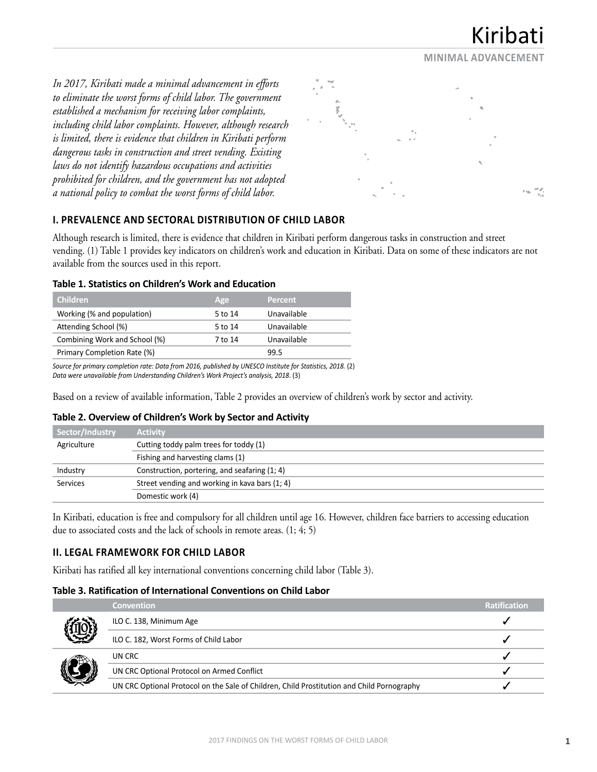**MINIMAL ADVANCEMENT**

*In 2017, Kiribati made a minimal advancement in efforts to eliminate the worst forms of child labor. The government established a mechanism for receiving labor complaints, including child labor complaints. However, although research is limited, there is evidence that children in Kiribati perform dangerous tasks in construction and street vending. Existing laws do not identify hazardous occupations and activities prohibited for children, and the government has not adopted a national policy to combat the worst forms of child labor.*



# **I. PREVALENCE AND SECTORAL DISTRIBUTION OF CHILD LABOR**

Although research is limited, there is evidence that children in Kiribati perform dangerous tasks in construction and street vending. (1) Table 1 provides key indicators on children's work and education in Kiribati. Data on some of these indicators are not available from the sources used in this report.

## **Table 1. Statistics on Children's Work and Education**

| <b>Children</b>               | Age     | <b>Percent</b> |
|-------------------------------|---------|----------------|
| Working (% and population)    | 5 to 14 | Unavailable    |
| Attending School (%)          | 5 to 14 | Unavailable    |
| Combining Work and School (%) | 7 to 14 | Unavailable    |
| Primary Completion Rate (%)   |         | 99.5           |

*Source for primary completion rate: Data from 2016, published by UNESCO Institute for Statistics, 2018.* (2) *Data were unavailable from Understanding Children's Work Project's analysis, 2018*. (3)

Based on a review of available information, Table 2 provides an overview of children's work by sector and activity.

### **Table 2. Overview of Children's Work by Sector and Activity**

| Sector/Industry | <b>Activity</b>                                |
|-----------------|------------------------------------------------|
| Agriculture     | Cutting toddy palm trees for toddy (1)         |
|                 | Fishing and harvesting clams (1)               |
| Industry        | Construction, portering, and seafaring (1; 4)  |
| <b>Services</b> | Street vending and working in kava bars (1; 4) |
|                 | Domestic work (4)                              |

In Kiribati, education is free and compulsory for all children until age 16. However, children face barriers to accessing education due to associated costs and the lack of schools in remote areas. (1; 4; 5)

## **II. LEGAL FRAMEWORK FOR CHILD LABOR**

Kiribati has ratified all key international conventions concerning child labor (Table 3).

### **Table 3. Ratification of International Conventions on Child Labor**

| <b>Convention</b>                                                                          | <b>Ratification</b> |
|--------------------------------------------------------------------------------------------|---------------------|
| ILO C. 138, Minimum Age                                                                    |                     |
| ILO C. 182, Worst Forms of Child Labor                                                     |                     |
| UN CRC                                                                                     |                     |
| UN CRC Optional Protocol on Armed Conflict                                                 |                     |
| UN CRC Optional Protocol on the Sale of Children, Child Prostitution and Child Pornography |                     |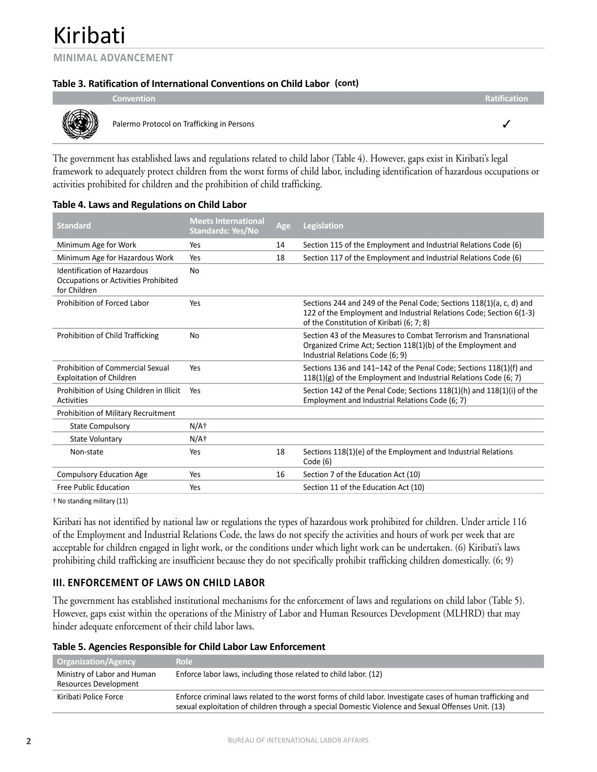**MINIMAL ADVANCEMENT**

## **Table 3. Ratification of International Conventions on Child Labor (cont)**

|   | <b>Convention</b>                          | <b>Ratification</b> |  |
|---|--------------------------------------------|---------------------|--|
| ⋙ | Palermo Protocol on Trafficking in Persons |                     |  |

The government has established laws and regulations related to child labor (Table 4). However, gaps exist in Kiribati's legal framework to adequately protect children from the worst forms of child labor, including identification of hazardous occupations or activities prohibited for children and the prohibition of child trafficking.

| <b>Standard</b>                                                                     | <b>Meets International</b><br><b>Standards: Yes/No</b> | Age | <b>Legislation</b>                                                                                                                                                                       |
|-------------------------------------------------------------------------------------|--------------------------------------------------------|-----|------------------------------------------------------------------------------------------------------------------------------------------------------------------------------------------|
| Minimum Age for Work                                                                | Yes                                                    | 14  | Section 115 of the Employment and Industrial Relations Code (6)                                                                                                                          |
| Minimum Age for Hazardous Work                                                      | Yes                                                    | 18  | Section 117 of the Employment and Industrial Relations Code (6)                                                                                                                          |
| Identification of Hazardous<br>Occupations or Activities Prohibited<br>for Children | N <sub>0</sub>                                         |     |                                                                                                                                                                                          |
| Prohibition of Forced Labor                                                         | Yes                                                    |     | Sections 244 and 249 of the Penal Code; Sections 118(1)(a, c, d) and<br>122 of the Employment and Industrial Relations Code; Section 6(1-3)<br>of the Constitution of Kiribati (6; 7; 8) |
| Prohibition of Child Trafficking                                                    | No                                                     |     | Section 43 of the Measures to Combat Terrorism and Transnational<br>Organized Crime Act; Section 118(1)(b) of the Employment and<br>Industrial Relations Code (6; 9)                     |
| Prohibition of Commercial Sexual<br><b>Exploitation of Children</b>                 | Yes                                                    |     | Sections 136 and 141-142 of the Penal Code; Sections 118(1)(f) and<br>$118(1)(g)$ of the Employment and Industrial Relations Code (6; 7)                                                 |
| Prohibition of Using Children in Illicit<br>Activities                              | Yes                                                    |     | Section 142 of the Penal Code; Sections 118(1)(h) and 118(1)(i) of the<br>Employment and Industrial Relations Code (6; 7)                                                                |
| Prohibition of Military Recruitment                                                 |                                                        |     |                                                                                                                                                                                          |
| <b>State Compulsory</b>                                                             | N/A†                                                   |     |                                                                                                                                                                                          |
| State Voluntary                                                                     | $N/A+$                                                 |     |                                                                                                                                                                                          |
| Non-state                                                                           | Yes                                                    | 18  | Sections 118(1)(e) of the Employment and Industrial Relations<br>Code(6)                                                                                                                 |
| <b>Compulsory Education Age</b>                                                     | Yes                                                    | 16  | Section 7 of the Education Act (10)                                                                                                                                                      |
| Free Public Education                                                               | Yes                                                    |     | Section 11 of the Education Act (10)                                                                                                                                                     |

### **Table 4. Laws and Regulations on Child Labor**

† No standing military (11)

Kiribati has not identified by national law or regulations the types of hazardous work prohibited for children. Under article 116 of the Employment and Industrial Relations Code, the laws do not specify the activities and hours of work per week that are acceptable for children engaged in light work, or the conditions under which light work can be undertaken. (6) Kiribati's laws prohibiting child trafficking are insufficient because they do not specifically prohibit trafficking children domestically. (6; 9)

## **III. ENFORCEMENT OF LAWS ON CHILD LABOR**

The government has established institutional mechanisms for the enforcement of laws and regulations on child labor (Table 5). However, gaps exist within the operations of the Ministry of Labor and Human Resources Development (MLHRD) that may hinder adequate enforcement of their child labor laws.

| Table 5. Agencies Responsible for Child Labor Law Enforcement |  |  |  |  |
|---------------------------------------------------------------|--|--|--|--|
|---------------------------------------------------------------|--|--|--|--|

| <b>Organization/Agency</b>                           | <b>Role</b>                                                                                                                                                                                                       |
|------------------------------------------------------|-------------------------------------------------------------------------------------------------------------------------------------------------------------------------------------------------------------------|
| Ministry of Labor and Human<br>Resources Development | Enforce labor laws, including those related to child labor. (12)                                                                                                                                                  |
| Kiribati Police Force                                | Enforce criminal laws related to the worst forms of child labor. Investigate cases of human trafficking and<br>sexual exploitation of children through a special Domestic Violence and Sexual Offenses Unit. (13) |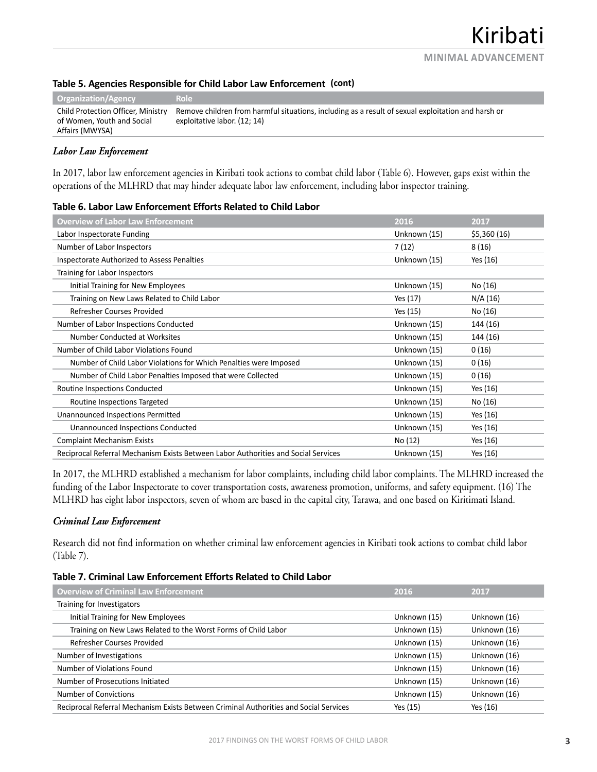## **Table 5. Agencies Responsible for Child Labor Law Enforcement (cont)**

| <b>Organization/Agency</b>                                                          | Role                                                                                                                               |
|-------------------------------------------------------------------------------------|------------------------------------------------------------------------------------------------------------------------------------|
| Child Protection Officer, Ministry<br>of Women, Youth and Social<br>Affairs (MWYSA) | Remove children from harmful situations, including as a result of sexual exploitation and harsh or<br>exploitative labor. (12; 14) |

### *Labor Law Enforcement*

In 2017, labor law enforcement agencies in Kiribati took actions to combat child labor (Table 6). However, gaps exist within the operations of the MLHRD that may hinder adequate labor law enforcement, including labor inspector training.

### **Table 6. Labor Law Enforcement Efforts Related to Child Labor**

| <b>Overview of Labor Law Enforcement</b>                                           | 2016         | 2017        |
|------------------------------------------------------------------------------------|--------------|-------------|
| Labor Inspectorate Funding                                                         | Unknown (15) | \$5,360(16) |
| Number of Labor Inspectors                                                         | 7(12)        | 8(16)       |
| Inspectorate Authorized to Assess Penalties                                        | Unknown (15) | Yes (16)    |
| Training for Labor Inspectors                                                      |              |             |
| Initial Training for New Employees                                                 | Unknown (15) | No (16)     |
| Training on New Laws Related to Child Labor                                        | Yes (17)     | N/A (16)    |
| Refresher Courses Provided                                                         | Yes (15)     | No (16)     |
| Number of Labor Inspections Conducted                                              | Unknown (15) | 144 (16)    |
| Number Conducted at Worksites                                                      | Unknown (15) | 144 (16)    |
| Number of Child Labor Violations Found                                             | Unknown (15) | 0(16)       |
| Number of Child Labor Violations for Which Penalties were Imposed                  | Unknown (15) | 0(16)       |
| Number of Child Labor Penalties Imposed that were Collected                        | Unknown (15) | 0(16)       |
| Routine Inspections Conducted                                                      | Unknown (15) | Yes (16)    |
| Routine Inspections Targeted                                                       | Unknown (15) | No (16)     |
| Unannounced Inspections Permitted                                                  | Unknown (15) | Yes (16)    |
| Unannounced Inspections Conducted                                                  | Unknown (15) | Yes (16)    |
| <b>Complaint Mechanism Exists</b>                                                  | No (12)      | Yes (16)    |
| Reciprocal Referral Mechanism Exists Between Labor Authorities and Social Services | Unknown (15) | Yes (16)    |

In 2017, the MLHRD established a mechanism for labor complaints, including child labor complaints. The MLHRD increased the funding of the Labor Inspectorate to cover transportation costs, awareness promotion, uniforms, and safety equipment. (16) The MLHRD has eight labor inspectors, seven of whom are based in the capital city, Tarawa, and one based on Kiritimati Island.

### *Criminal Law Enforcement*

Research did not find information on whether criminal law enforcement agencies in Kiribati took actions to combat child labor (Table 7).

### **Table 7. Criminal Law Enforcement Efforts Related to Child Labor**

| <b>Overview of Criminal Law Enforcement</b>                                           | 2016         | 2017         |
|---------------------------------------------------------------------------------------|--------------|--------------|
| Training for Investigators                                                            |              |              |
| Initial Training for New Employees                                                    | Unknown (15) | Unknown (16) |
| Training on New Laws Related to the Worst Forms of Child Labor                        | Unknown (15) | Unknown (16) |
| Refresher Courses Provided                                                            | Unknown (15) | Unknown (16) |
| Number of Investigations                                                              | Unknown (15) | Unknown (16) |
| Number of Violations Found                                                            | Unknown (15) | Unknown (16) |
| Number of Prosecutions Initiated                                                      | Unknown (15) | Unknown (16) |
| Number of Convictions                                                                 | Unknown (15) | Unknown (16) |
| Reciprocal Referral Mechanism Exists Between Criminal Authorities and Social Services | Yes (15)     | Yes (16)     |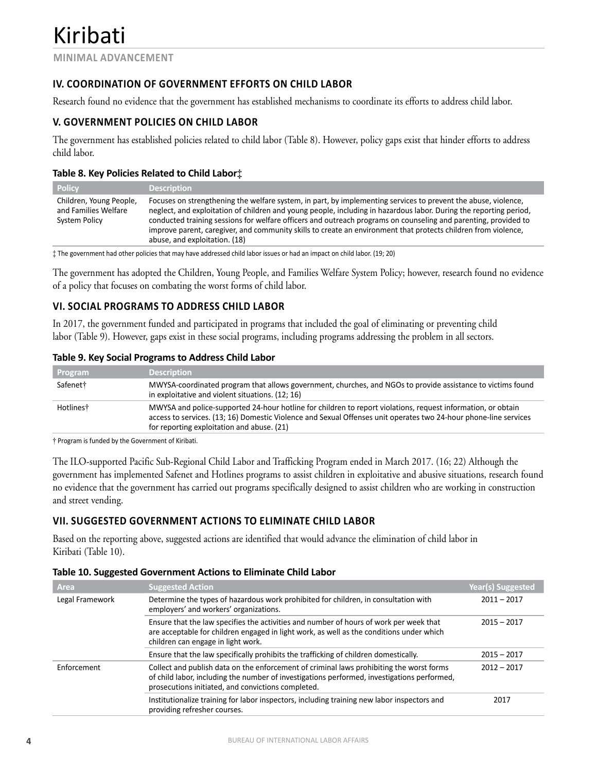## **IV. COORDINATION OF GOVERNMENT EFFORTS ON CHILD LABOR**

Research found no evidence that the government has established mechanisms to coordinate its efforts to address child labor.

## **V. GOVERNMENT POLICIES ON CHILD LABOR**

The government has established policies related to child labor (Table 8). However, policy gaps exist that hinder efforts to address child labor.

## **Table 8. Key Policies Related to Child Labor‡**

| <b>Policy</b>                                                    | <b>Description</b>                                                                                                                                                                                                                                                                                                                                                                                                                                                                                         |
|------------------------------------------------------------------|------------------------------------------------------------------------------------------------------------------------------------------------------------------------------------------------------------------------------------------------------------------------------------------------------------------------------------------------------------------------------------------------------------------------------------------------------------------------------------------------------------|
| Children, Young People,<br>and Families Welfare<br>System Policy | Focuses on strengthening the welfare system, in part, by implementing services to prevent the abuse, violence,<br>neglect, and exploitation of children and young people, including in hazardous labor. During the reporting period,<br>conducted training sessions for welfare officers and outreach programs on counseling and parenting, provided to<br>improve parent, caregiver, and community skills to create an environment that protects children from violence,<br>abuse, and exploitation. (18) |

‡ The government had other policies that may have addressed child labor issues or had an impact on child labor. (19; 20)

The government has adopted the Children, Young People, and Families Welfare System Policy; however, research found no evidence of a policy that focuses on combating the worst forms of child labor.

## **VI. SOCIAL PROGRAMS TO ADDRESS CHILD LABOR**

In 2017, the government funded and participated in programs that included the goal of eliminating or preventing child labor (Table 9). However, gaps exist in these social programs, including programs addressing the problem in all sectors.

### **Table 9. Key Social Programs to Address Child Labor**

| Program   | <b>Description</b>                                                                                                                                                                                                                                                             |
|-----------|--------------------------------------------------------------------------------------------------------------------------------------------------------------------------------------------------------------------------------------------------------------------------------|
| Safenet†  | MWYSA-coordinated program that allows government, churches, and NGOs to provide assistance to victims found<br>in exploitative and violent situations. (12; 16)                                                                                                                |
| Hotlines† | MWYSA and police-supported 24-hour hotline for children to report violations, request information, or obtain<br>access to services. (13; 16) Domestic Violence and Sexual Offenses unit operates two 24-hour phone-line services<br>for reporting exploitation and abuse. (21) |

† Program is funded by the Government of Kiribati.

The ILO-supported Pacific Sub-Regional Child Labor and Trafficking Program ended in March 2017. (16; 22) Although the government has implemented Safenet and Hotlines programs to assist children in exploitative and abusive situations, research found no evidence that the government has carried out programs specifically designed to assist children who are working in construction and street vending.

## **VII. SUGGESTED GOVERNMENT ACTIONS TO ELIMINATE CHILD LABOR**

Based on the reporting above, suggested actions are identified that would advance the elimination of child labor in Kiribati (Table 10).

### **Table 10. Suggested Government Actions to Eliminate Child Labor**

| Area            | <b>Suggested Action</b>                                                                                                                                                                                                                       | <b>Year(s) Suggested</b> |
|-----------------|-----------------------------------------------------------------------------------------------------------------------------------------------------------------------------------------------------------------------------------------------|--------------------------|
| Legal Framework | Determine the types of hazardous work prohibited for children, in consultation with<br>employers' and workers' organizations.                                                                                                                 | $2011 - 2017$            |
|                 | Ensure that the law specifies the activities and number of hours of work per week that<br>are acceptable for children engaged in light work, as well as the conditions under which<br>children can engage in light work.                      | $2015 - 2017$            |
|                 | Ensure that the law specifically prohibits the trafficking of children domestically.                                                                                                                                                          | $2015 - 2017$            |
| Enforcement     | Collect and publish data on the enforcement of criminal laws prohibiting the worst forms<br>of child labor, including the number of investigations performed, investigations performed,<br>prosecutions initiated, and convictions completed. | $2012 - 2017$            |
|                 | Institutionalize training for labor inspectors, including training new labor inspectors and<br>providing refresher courses.                                                                                                                   | 2017                     |